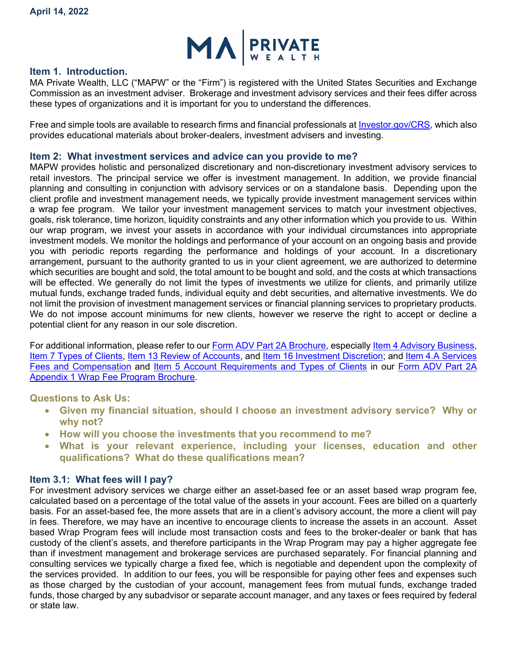

#### **Item 1. Introduction.**

MA Private Wealth, LLC ("MAPW" or the "Firm") is registered with the United States Securities and Exchange Commission as an investment adviser. Brokerage and investment advisory services and their fees differ across these types of organizations and it is important for you to understand the differences.

Free and simple tools are available to research firms and financial professionals at [Investor.gov/CRS,](https://www.investor.gov/CRS) which also provides educational materials about broker-dealers, investment advisers and investing.

#### **Item 2: What investment services and advice can you provide to me?**

MAPW provides holistic and personalized discretionary and non-discretionary investment advisory services to retail investors. The principal service we offer is investment management. In addition, we provide financial planning and consulting in conjunction with advisory services or on a standalone basis. Depending upon the client profile and investment management needs, we typically provide investment management services within a wrap fee program. We tailor your investment management services to match your investment objectives, goals, risk tolerance, time horizon, liquidity constraints and any other information which you provide to us. Within our wrap program, we invest your assets in accordance with your individual circumstances into appropriate investment models. We monitor the holdings and performance of your account on an ongoing basis and provide you with periodic reports regarding the performance and holdings of your account. In a discretionary arrangement, pursuant to the authority granted to us in your client agreement, we are authorized to determine which securities are bought and sold, the total amount to be bought and sold, and the costs at which transactions will be effected. We generally do not limit the types of investments we utilize for clients, and primarily utilize mutual funds, exchange traded funds, individual equity and debt securities, and alternative investments. We do not limit the provision of investment management services or financial planning services to proprietary products. We do not impose account minimums for new clients, however we reserve the right to accept or decline a potential client for any reason in our sole discretion.

For additional information, please refer to our [Form ADV Part 2A Brochure,](https://files.adviserinfo.sec.gov/IAPD/Content/Common/crd_iapd_Brochure.aspx?BRCHR_VRSN_ID=757020) especially [Item 4 Advisory Business,](https://files.adviserinfo.sec.gov/IAPD/Content/Common/crd_iapd_Brochure.aspx?BRCHR_VRSN_ID=757020#page=4) [Item 7 Types of Clients,](https://files.adviserinfo.sec.gov/IAPD/Content/Common/crd_iapd_Brochure.aspx?BRCHR_VRSN_ID=757020#page=8) [Item 13 Review of Accounts,](https://files.adviserinfo.sec.gov/IAPD/Content/Common/crd_iapd_Brochure.aspx?BRCHR_VRSN_ID=757020#page=16) and [Item 16 Investment Discretion;](https://files.adviserinfo.sec.gov/IAPD/Content/Common/crd_iapd_Brochure.aspx?BRCHR_VRSN_ID=757020#page=17) and [Item 4.A Services](https://files.adviserinfo.sec.gov/IAPD/Content/Common/crd_iapd_Brochure.aspx?BRCHR_VRSN_ID=757019#page=4)  [Fees and Compensation](https://files.adviserinfo.sec.gov/IAPD/Content/Common/crd_iapd_Brochure.aspx?BRCHR_VRSN_ID=757019#page=4) and [Item 5 Account Requirements and Types of Clients](https://files.adviserinfo.sec.gov/IAPD/Content/Common/crd_iapd_Brochure.aspx?BRCHR_VRSN_ID=757019#page=6) in our [Form ADV Part 2A](https://files.adviserinfo.sec.gov/IAPD/Content/Common/crd_iapd_Brochure.aspx?BRCHR_VRSN_ID=757019)  [Appendix 1 Wrap Fee Program Brochure.](https://files.adviserinfo.sec.gov/IAPD/Content/Common/crd_iapd_Brochure.aspx?BRCHR_VRSN_ID=757019)

**Questions to Ask Us:**

- **Given my financial situation, should I choose an investment advisory service? Why or why not?**
- **How will you choose the investments that you recommend to me?**
- **What is your relevant experience, including your licenses, education and other qualifications? What do these qualifications mean?**

#### **Item 3.1: What fees will I pay?**

For investment advisory services we charge either an asset-based fee or an asset based wrap program fee, calculated based on a percentage of the total value of the assets in your account. Fees are billed on a quarterly basis. For an asset-based fee, the more assets that are in a client's advisory account, the more a client will pay in fees. Therefore, we may have an incentive to encourage clients to increase the assets in an account. Asset based Wrap Program fees will include most transaction costs and fees to the broker-dealer or bank that has custody of the client's assets, and therefore participants in the Wrap Program may pay a higher aggregate fee than if investment management and brokerage services are purchased separately. For financial planning and consulting services we typically charge a fixed fee, which is negotiable and dependent upon the complexity of the services provided. In addition to our fees, you will be responsible for paying other fees and expenses such as those charged by the custodian of your account, management fees from mutual funds, exchange traded funds, those charged by any subadvisor or separate account manager, and any taxes or fees required by federal or state law.